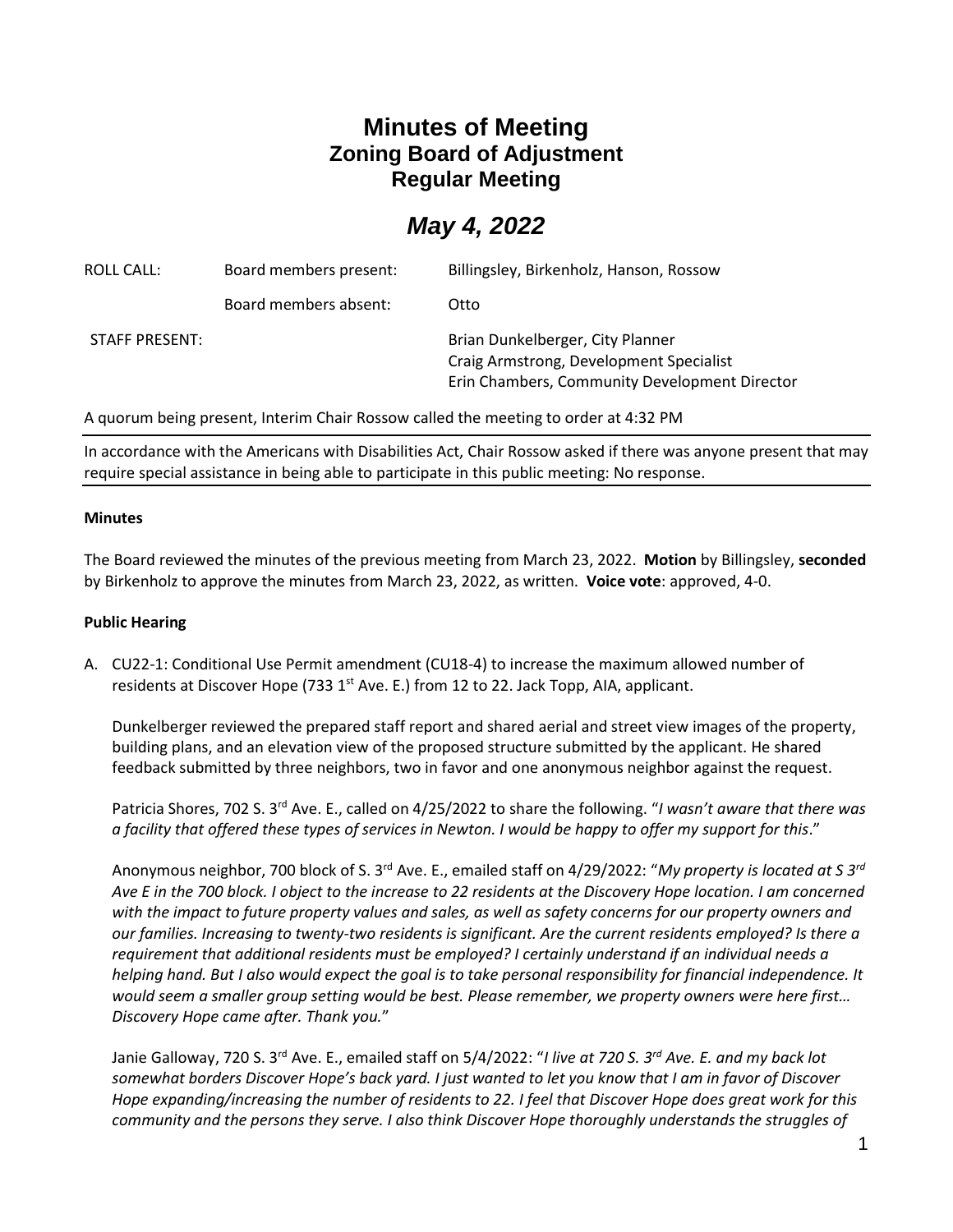## **Minutes of Meeting Zoning Board of Adjustment Regular Meeting**

# *May 4, 2022*

| <b>ROLL CALL:</b>     | Board members present: | Billingsley, Birkenholz, Hanson, Rossow                                                                                      |
|-----------------------|------------------------|------------------------------------------------------------------------------------------------------------------------------|
|                       | Board members absent:  | Otto                                                                                                                         |
| <b>STAFF PRESENT:</b> |                        | Brian Dunkelberger, City Planner<br>Craig Armstrong, Development Specialist<br>Erin Chambers, Community Development Director |

A quorum being present, Interim Chair Rossow called the meeting to order at 4:32 PM

In accordance with the Americans with Disabilities Act, Chair Rossow asked if there was anyone present that may require special assistance in being able to participate in this public meeting: No response.

#### **Minutes**

The Board reviewed the minutes of the previous meeting from March 23, 2022. **Motion** by Billingsley, **seconded** by Birkenholz to approve the minutes from March 23, 2022, as written. **Voice vote**: approved, 4-0.

### **Public Hearing**

A. CU22-1: Conditional Use Permit amendment (CU18-4) to increase the maximum allowed number of residents at Discover Hope (733 1<sup>st</sup> Ave. E.) from 12 to 22. Jack Topp, AIA, applicant.

Dunkelberger reviewed the prepared staff report and shared aerial and street view images of the property, building plans, and an elevation view of the proposed structure submitted by the applicant. He shared feedback submitted by three neighbors, two in favor and one anonymous neighbor against the request.

Patricia Shores, 702 S. 3rd Ave. E., called on 4/25/2022 to share the following. "*I wasn't aware that there was a facility that offered these types of services in Newton. I would be happy to offer my support for this*."

Anonymous neighbor, 700 block of S. 3rd Ave. E., emailed staff on 4/29/2022: "*My property is located at S 3rd Ave E in the 700 block. I object to the increase to 22 residents at the Discovery Hope location. I am concerned with the impact to future property values and sales, as well as safety concerns for our property owners and our families. Increasing to twenty-two residents is significant. Are the current residents employed? Is there a requirement that additional residents must be employed? I certainly understand if an individual needs a helping hand. But I also would expect the goal is to take personal responsibility for financial independence. It would seem a smaller group setting would be best. Please remember, we property owners were here first… Discovery Hope came after. Thank you.*"

Janie Galloway, 720 S. 3rd Ave. E., emailed staff on 5/4/2022: "*I live at 720 S. 3rd Ave. E. and my back lot somewhat borders Discover Hope's back yard. I just wanted to let you know that I am in favor of Discover Hope expanding/increasing the number of residents to 22. I feel that Discover Hope does great work for this community and the persons they serve. I also think Discover Hope thoroughly understands the struggles of*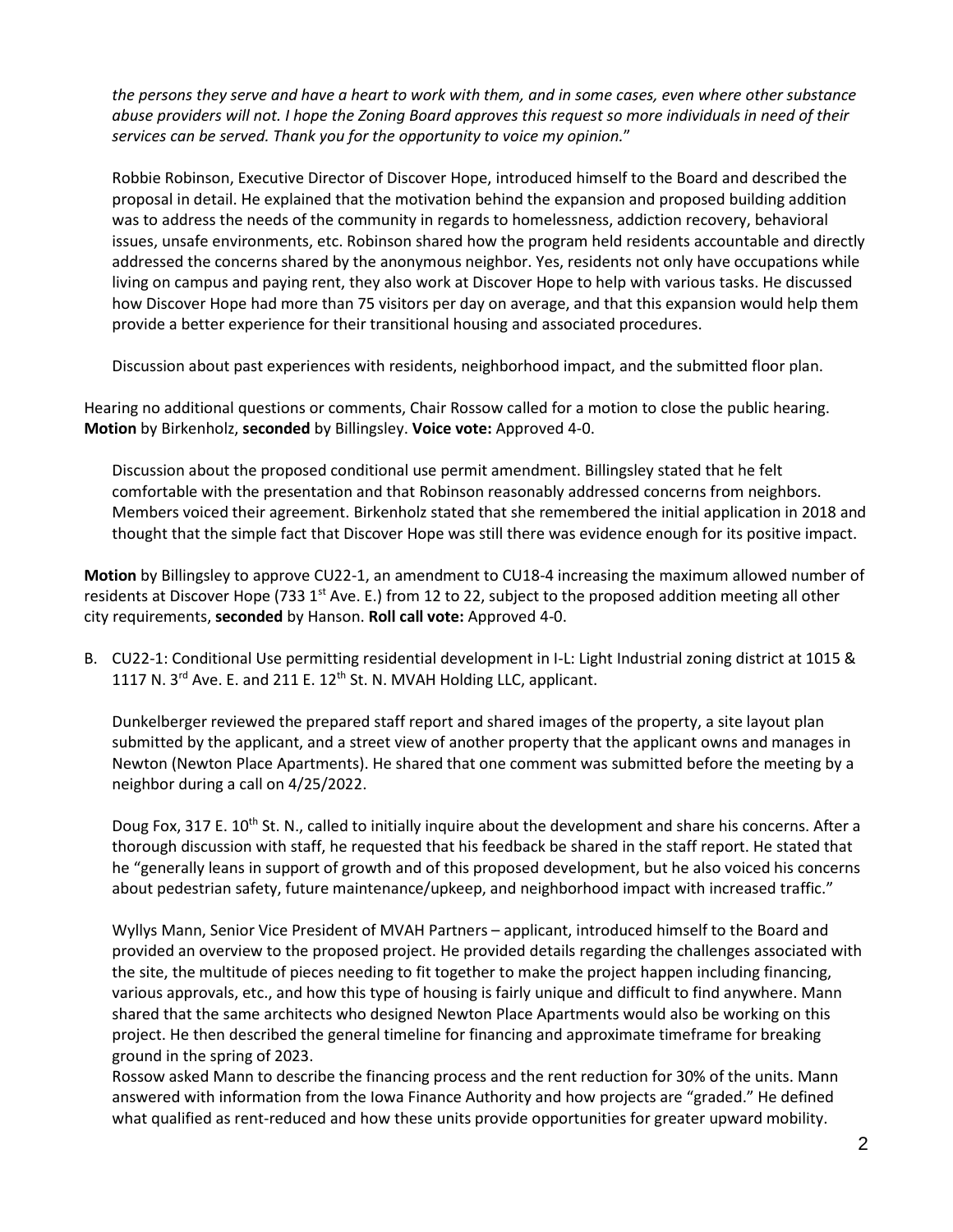*the persons they serve and have a heart to work with them, and in some cases, even where other substance abuse providers will not. I hope the Zoning Board approves this request so more individuals in need of their services can be served. Thank you for the opportunity to voice my opinion.*"

Robbie Robinson, Executive Director of Discover Hope, introduced himself to the Board and described the proposal in detail. He explained that the motivation behind the expansion and proposed building addition was to address the needs of the community in regards to homelessness, addiction recovery, behavioral issues, unsafe environments, etc. Robinson shared how the program held residents accountable and directly addressed the concerns shared by the anonymous neighbor. Yes, residents not only have occupations while living on campus and paying rent, they also work at Discover Hope to help with various tasks. He discussed how Discover Hope had more than 75 visitors per day on average, and that this expansion would help them provide a better experience for their transitional housing and associated procedures.

Discussion about past experiences with residents, neighborhood impact, and the submitted floor plan.

Hearing no additional questions or comments, Chair Rossow called for a motion to close the public hearing. **Motion** by Birkenholz, **seconded** by Billingsley. **Voice vote:** Approved 4-0.

Discussion about the proposed conditional use permit amendment. Billingsley stated that he felt comfortable with the presentation and that Robinson reasonably addressed concerns from neighbors. Members voiced their agreement. Birkenholz stated that she remembered the initial application in 2018 and thought that the simple fact that Discover Hope was still there was evidence enough for its positive impact.

**Motion** by Billingsley to approve CU22-1, an amendment to CU18-4 increasing the maximum allowed number of residents at Discover Hope (733 1<sup>st</sup> Ave. E.) from 12 to 22, subject to the proposed addition meeting all other city requirements, **seconded** by Hanson. **Roll call vote:** Approved 4-0.

B. CU22-1: Conditional Use permitting residential development in I-L: Light Industrial zoning district at 1015 & 1117 N. 3<sup>rd</sup> Ave. E. and 211 E. 12<sup>th</sup> St. N. MVAH Holding LLC, applicant.

Dunkelberger reviewed the prepared staff report and shared images of the property, a site layout plan submitted by the applicant, and a street view of another property that the applicant owns and manages in Newton (Newton Place Apartments). He shared that one comment was submitted before the meeting by a neighbor during a call on 4/25/2022.

Doug Fox, 317 E. 10<sup>th</sup> St. N., called to initially inquire about the development and share his concerns. After a thorough discussion with staff, he requested that his feedback be shared in the staff report. He stated that he "generally leans in support of growth and of this proposed development, but he also voiced his concerns about pedestrian safety, future maintenance/upkeep, and neighborhood impact with increased traffic."

Wyllys Mann, Senior Vice President of MVAH Partners – applicant, introduced himself to the Board and provided an overview to the proposed project. He provided details regarding the challenges associated with the site, the multitude of pieces needing to fit together to make the project happen including financing, various approvals, etc., and how this type of housing is fairly unique and difficult to find anywhere. Mann shared that the same architects who designed Newton Place Apartments would also be working on this project. He then described the general timeline for financing and approximate timeframe for breaking ground in the spring of 2023.

Rossow asked Mann to describe the financing process and the rent reduction for 30% of the units. Mann answered with information from the Iowa Finance Authority and how projects are "graded." He defined what qualified as rent-reduced and how these units provide opportunities for greater upward mobility.